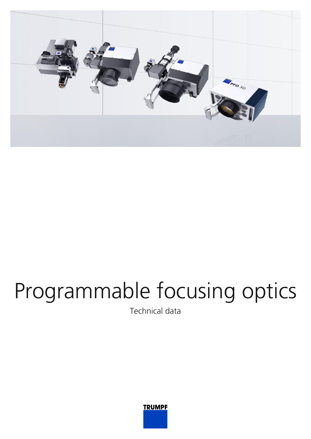

## Programmable focusing optics

Technical data

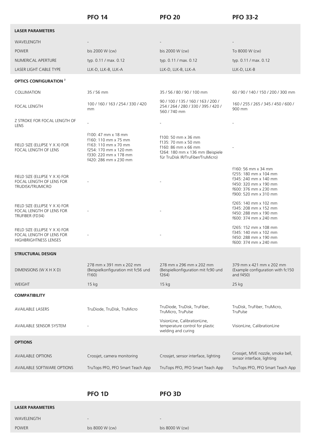|                                                                                     | <b>PFO 14</b>                                                                                                                                  | <b>PFO 20</b>                                                                                                                              | <b>PFO 33-2</b>                                                                                                                                  |
|-------------------------------------------------------------------------------------|------------------------------------------------------------------------------------------------------------------------------------------------|--------------------------------------------------------------------------------------------------------------------------------------------|--------------------------------------------------------------------------------------------------------------------------------------------------|
| <b>LASER PARAMETERS</b>                                                             |                                                                                                                                                |                                                                                                                                            |                                                                                                                                                  |
| WAVELENGTH                                                                          |                                                                                                                                                |                                                                                                                                            |                                                                                                                                                  |
| <b>POWER</b>                                                                        | bis 2000 W (cw)                                                                                                                                | bis 2000 W (cw)                                                                                                                            | To 8000 W (cw)                                                                                                                                   |
| NUMERICAL APERTURE                                                                  | typ. 0.11 / max. 0.12                                                                                                                          | typ. 0.11 / max. 0.12                                                                                                                      | typ. 0.11 / max. 0.12                                                                                                                            |
| LASER LIGHT CABLE TYPE                                                              | LLK-D, LLK-B, LLK-A                                                                                                                            | LLK-D, LLK-B, LLK-A                                                                                                                        | LLK-D, LLK-B                                                                                                                                     |
| <b>OPTICS CONFIGURATION 2</b>                                                       |                                                                                                                                                |                                                                                                                                            |                                                                                                                                                  |
| COLLIMATION                                                                         | 35 / 56 mm                                                                                                                                     | 35 / 56 / 80 / 90 / 100 mm                                                                                                                 | 60 / 90 / 140 / 150 / 200 / 300 mm                                                                                                               |
| <b>FOCAL LENGTH</b>                                                                 | 100 / 160 / 163 / 254 / 330 / 420<br>mm                                                                                                        | 90 / 100 / 135 / 160 / 163 / 200 /<br>254 / 264 / 280 / 330 / 395 / 420 /<br>560/740 mm                                                    | 160 / 255 / 265 / 345 / 450 / 600 /<br>900 mm                                                                                                    |
| Z STROKE FOR FOCAL LENGTH OF<br>LENS                                                |                                                                                                                                                |                                                                                                                                            |                                                                                                                                                  |
| FIELD SIZE (ELLIPSE Y X X) FOR<br>FOCAL LENGTH OF LENS                              | f100: 47 mm x 18 mm<br>f160: 110 mm x 75 mm<br>f163: 110 mm x 70 mm<br>f254: 170 mm x 120 mm<br>f330: 220 mm x 178 mm<br>f420: 286 mm x 230 mm | f100: 50 mm x 36 mm<br>f135: 70 mm x 50 mm<br>f160: 86 mm x 66 mm<br>f264: 180 mm x 136 mm (Beispiele<br>für TruDisk IR/TruFiber/TruMicro) |                                                                                                                                                  |
| FIELD SIZE (ELLIPSE Y X X) FOR<br>FOCAL LENGTH OF LENS FOR<br>TRUDISK/TRUMICRO      |                                                                                                                                                |                                                                                                                                            | f160: 56 mm x 34 mm<br>f255: 180 mm x 104 mm<br>f345: 240 mm x 140 mm<br>f450: 320 mm x 190 mm<br>f600: 376 mm x 230 mm<br>f900: 520 mm x 310 mm |
| FIELD SIZE (ELLIPSE Y X X) FOR<br>FOCAL LENGTH OF LENS FOR<br>TRUFIBER (FD34)       |                                                                                                                                                |                                                                                                                                            | f265: 140 mm x 102 mm<br>f345: 208 mm x 152 mm<br>f450: 288 mm x 190 mm<br>f600: 374 mm x 240 mm                                                 |
| FIELD SIZE (ELLIPSE Y X X) FOR<br>FOCAL LENGTH OF LENS FOR<br>HIGHBRIGHTNESS LENSES |                                                                                                                                                |                                                                                                                                            | f265: 152 mm x 108 mm<br>f345: 140 mm x 102 mm<br>f450: 288 mm x 190 mm<br>1600: 374 mm x 240 mm                                                 |
| <b>STRUCTURAL DESIGN</b>                                                            |                                                                                                                                                |                                                                                                                                            |                                                                                                                                                  |
| DIMENSIONS (W X H X D)                                                              | 278 mm x 391 mm x 202 mm<br>(Beispielkonfiguration mit fc56 und<br>f160                                                                        | 278 mm x 296 mm x 202 mm<br>(Beispielkonfiguration mit fc90 und<br>f264)                                                                   | 379 mm x 421 mm x 202 mm<br>(Example configuration with fc150<br>and f450)                                                                       |
| WEIGHT                                                                              | 15 kg                                                                                                                                          | 15 kg                                                                                                                                      | 25 kg                                                                                                                                            |
| <b>COMPATIBILITY</b>                                                                |                                                                                                                                                |                                                                                                                                            |                                                                                                                                                  |
| <b>AVAILABLE LASERS</b>                                                             | TruDiode, TruDisk, TruMicro                                                                                                                    | TruDiode, TruDisk, TruFiber,<br>TruMicro, TruPulse                                                                                         | TruDisk, TruFiber, TruMicro,<br>TruPulse                                                                                                         |
| AVAILABLE SENSOR SYSTEM                                                             |                                                                                                                                                | VisionLine, CalibrationLine,<br>temperature control for plastic<br>welding and curing                                                      | VisionLine, CalibrationLine                                                                                                                      |
| <b>OPTIONS</b>                                                                      |                                                                                                                                                |                                                                                                                                            |                                                                                                                                                  |
| <b>AVAILABLE OPTIONS</b>                                                            | Crossjet, camera monitoring                                                                                                                    | Crossjet, sensor interface, lighting                                                                                                       | Crossjet, MVE nozzle, smoke bell,<br>sensor interface, lighting                                                                                  |
| AVAILABLE SOFTWARE OPTIONS                                                          | TruTops PFO, PFO Smart Teach App                                                                                                               | TruTops PFO, PFO Smart Teach App                                                                                                           | TruTops PFO, PFO Smart Teach App                                                                                                                 |
|                                                                                     |                                                                                                                                                |                                                                                                                                            |                                                                                                                                                  |

**PFO 1D PFO 3D**

## **LASER PARAMETERS**

 $\overline{0}$ WAVELENGTH

POWER bis 8000 W (cw) bis 8000 W (cw)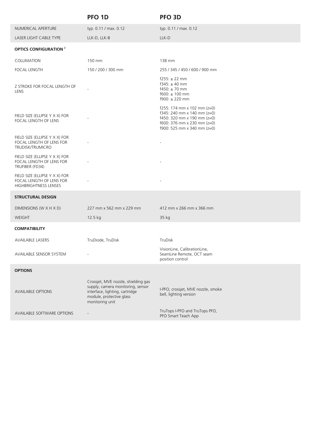|                                                                                            | PFO <sub>1D</sub>                                                                                                                                         | PFO <sub>3D</sub>                                                                                                                                                       |
|--------------------------------------------------------------------------------------------|-----------------------------------------------------------------------------------------------------------------------------------------------------------|-------------------------------------------------------------------------------------------------------------------------------------------------------------------------|
| NUMERICAL APERTURE                                                                         | typ. 0.11 / max. 0.12                                                                                                                                     | typ. 0.11 / max. 0.12                                                                                                                                                   |
| LASER LIGHT CABLE TYPE                                                                     | LLK-D, LLK-B                                                                                                                                              | LLK-D                                                                                                                                                                   |
| <b>OPTICS CONFIGURATION 2</b>                                                              |                                                                                                                                                           |                                                                                                                                                                         |
| COLLIMATION                                                                                | 150 mm                                                                                                                                                    | 138 mm                                                                                                                                                                  |
| <b>FOCAL LENGTH</b>                                                                        | 150 / 200 / 300 mm                                                                                                                                        | 255 / 345 / 450 / 600 / 900 mm                                                                                                                                          |
| Z STROKE FOR FOCAL LENGTH OF<br>LENS                                                       |                                                                                                                                                           | $f255: \pm 22$ mm<br>$f345: \pm 40$ mm<br>$f450: \pm 70$ mm<br>$f600: \pm 100$ mm<br>$f900: \pm 220$ mm                                                                 |
| FIELD SIZE (ELLIPSE Y X X) FOR<br>FOCAL LENGTH OF LENS                                     |                                                                                                                                                           | f255: 174 mm x 102 mm ( $z=0$ )<br>f345: 240 mm x 140 mm ( $z=0$ )<br>$f450: 320$ mm x 190 mm (z=0)<br>$f600: 376$ mm x 230 mm ( $z=0$ )<br>f900: 525 mm x 340 mm (z=0) |
| FIELD SIZE (ELLIPSE Y X X) FOR<br>FOCAL LENGTH OF LENS FOR<br><b>TRUDISK/TRUMICRO</b>      |                                                                                                                                                           |                                                                                                                                                                         |
| FIELD SIZE (ELLIPSE Y X X) FOR<br>FOCAL LENGTH OF LENS FOR<br>TRUFIBER (FD34)              |                                                                                                                                                           |                                                                                                                                                                         |
| FIELD SIZE (ELLIPSE Y X X) FOR<br>FOCAL LENGTH OF LENS FOR<br><b>HIGHBRIGHTNESS LENSES</b> |                                                                                                                                                           |                                                                                                                                                                         |
| <b>STRUCTURAL DESIGN</b>                                                                   |                                                                                                                                                           |                                                                                                                                                                         |
| DIMENSIONS (W X H X D)                                                                     | 227 mm x 562 mm x 229 mm                                                                                                                                  | 412 mm x 266 mm x 366 mm                                                                                                                                                |
| <b>WEIGHT</b>                                                                              | 12.5 kg                                                                                                                                                   | 35 kg                                                                                                                                                                   |
| <b>COMPATIBILITY</b>                                                                       |                                                                                                                                                           |                                                                                                                                                                         |
| <b>AVAILABLE LASERS</b>                                                                    | TruDiode, TruDisk                                                                                                                                         | TruDisk                                                                                                                                                                 |
| AVAILABLE SENSOR SYSTEM                                                                    |                                                                                                                                                           | VisionLine, CalibrationLine,<br>SeamLine Remote, OCT seam<br>position control                                                                                           |
| <b>OPTIONS</b>                                                                             |                                                                                                                                                           |                                                                                                                                                                         |
| <b>AVAILABLE OPTIONS</b>                                                                   | Crossjet, MVE nozzle, shielding gas<br>supply, camera monitoring, sensor<br>interface, lighting, cartridge<br>module, protective glass<br>monitoring unit | I-PFO, crossjet, MVE nozzle, smoke<br>bell, lighting version                                                                                                            |
| AVAILABLE SOFTWARE OPTIONS                                                                 | $\overline{\phantom{a}}$                                                                                                                                  | TruTops I-PFO and TruTops PFO,<br>PFO Smart Teach App                                                                                                                   |